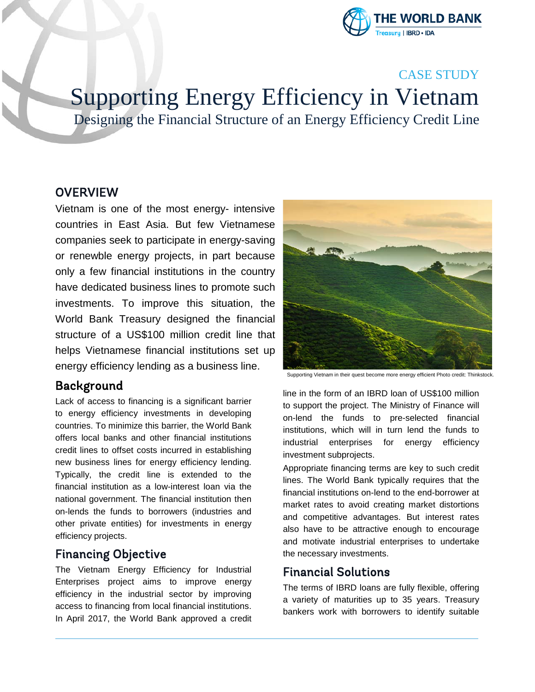

# CASE STUDY

Supporting Energy Efficiency in Vietnam

Designing the Financial Structure of an Energy Efficiency Credit Line

## **OVERVIEW**

Vietnam is one of the most energy- intensive countries in East Asia. But few Vietnamese companies seek to participate in energy-saving or renewble energy projects, in part because only a few financial institutions in the country have dedicated business lines to promote such investments. To improve this situation, the World Bank Treasury designed the financial structure of a US\$100 million credit line that helps Vietnamese financial institutions set up energy efficiency lending as a business line.

# Background

Lack of access to financing is a significant barrier to energy efficiency investments in developing countries. To minimize this barrier, the World Bank offers local banks and other financial institutions credit lines to offset costs incurred in establishing new business lines for energy efficiency lending. Typically, the credit line is extended to the financial institution as a low-interest loan via the national government. The financial institution then on-lends the funds to borrowers (industries and other private entities) for investments in energy efficiency projects.

# Financing Objective

The Vietnam Energy Efficiency for Industrial Enterprises project aims to improve energy efficiency in the industrial sector by improving access to financing from local financial institutions. In April 2017, the World Bank approved a credit



Supporting Vietnam in their quest become more energy efficient Photo credit: Thinkstock.

line in the form of an IBRD loan of US\$100 million to support the project. The Ministry of Finance will on-lend the funds to pre-selected financial institutions, which will in turn lend the funds to industrial enterprises for energy efficiency investment subprojects.

Appropriate financing terms are key to such credit lines. The World Bank typically requires that the financial institutions on-lend to the end-borrower at market rates to avoid creating market distortions and competitive advantages. But interest rates also have to be attractive enough to encourage and motivate industrial enterprises to undertake the necessary investments.

## Financial Solutions

The terms of IBRD loans are fully flexible, offering a variety of maturities up to 35 years. Treasury bankers work with borrowers to identify suitable